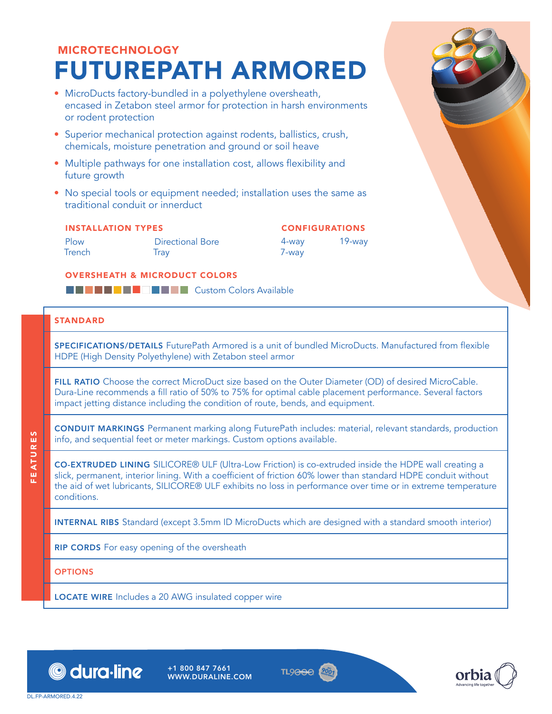# MICROTECHNOLOGY FUTUREPATH ARMORED

- MicroDucts factory-bundled in a polyethylene oversheath, encased in Zetabon steel armor for protection in harsh environments or rodent protection
- Superior mechanical protection against rodents, ballistics, crush, chemicals, moisture penetration and ground or soil heave
- Multiple pathways for one installation cost, allows flexibility and future growth
- No special tools or equipment needed; installation uses the same as traditional conduit or innerduct

#### INSTALLATION TYPES

Plow **Trench** 

Directional Bore **Tray** 

#### CONFIGURATIONS 4-way 7-way 19-way

#### OVERSHEATH & MICRODUCT COLORS

**BCDSCXFAWWYZBANK** 

#### **STANDARD**

SPECIFICATIONS/DETAILS FuturePath Armored is a unit of bundled MicroDucts. Manufactured from flexible HDPE (High Density Polyethylene) with Zetabon steel armor

FILL RATIO Choose the correct MicroDuct size based on the Outer Diameter (OD) of desired MicroCable. Dura-Line recommends a fill ratio of 50% to 75% for optimal cable placement performance. Several factors impact jetting distance including the condition of route, bends, and equipment.

CONDUIT MARKINGS Permanent marking along FuturePath includes: material, relevant standards, production info, and sequential feet or meter markings. Custom options available.

CO-EXTRUDED LINING SILICORE® ULF (Ultra-Low Friction) is co-extruded inside the HDPE wall creating a slick, permanent, interior lining. With a coefficient of friction 60% lower than standard HDPE conduit without the aid of wet lubricants, SILICORE® ULF exhibits no loss in performance over time or in extreme temperature conditions.

INTERNAL RIBS Standard (except 3.5mm ID MicroDucts which are designed with a standard smooth interior)

RIP CORDS For easy opening of the oversheath

**OPTIONS** 

FEATURES

EATURES

LOCATE WIRE Includes a 20 AWG insulated copper wire



+1 800 847 7661 WWW.DURALINE.COM



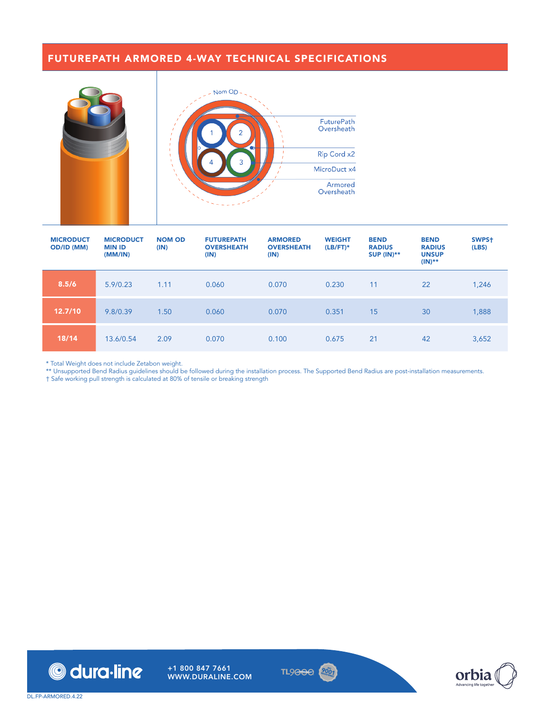### FUTUREPATH ARMORED 4-WAY TECHNICAL SPECIFICATIONS



| <b>MICRODUCT</b><br><b>OD/ID (MM)</b> | <b>MICRODUCT</b><br><b>MIN ID</b><br>(MM/IN) | <b>NOM OD</b><br>(IN) | <b>FUTUREPATH</b><br><b>OVERSHEATH</b><br>(IN) | <b>ARMORED</b><br><b>OVERSHEATH</b><br>(IN) | <b>WEIGHT</b><br>$(LB/FT)^*$ | <b>BEND</b><br><b>RADIUS</b><br><b>SUP (IN)**</b> | <b>BEND</b><br><b>RADIUS</b><br><b>UNSUP</b><br>$(IN)$ ** | SWPS <sup>+</sup><br>(LES) |
|---------------------------------------|----------------------------------------------|-----------------------|------------------------------------------------|---------------------------------------------|------------------------------|---------------------------------------------------|-----------------------------------------------------------|----------------------------|
| 8.5/6                                 | 5.9/0.23                                     | 1.11                  | 0.060                                          | 0.070                                       | 0.230                        | 11                                                | 22                                                        | 1,246                      |
| 12.7/10                               | 9.8/0.39                                     | 1.50                  | 0.060                                          | 0.070                                       | 0.351                        | 15                                                | 30                                                        | 1,888                      |
| 18/14                                 | 13.6/0.54                                    | 2.09                  | 0.070                                          | 0.100                                       | 0.675                        | 21                                                | 42                                                        | 3,652                      |

\* Total Weight does not include Zetabon weight.

\*\* Unsupported Bend Radius guidelines should be followed during the installation process. The Supported Bend Radius are post-installation measurements.

† Safe working pull strength is calculated at 80% of tensile or breaking strength





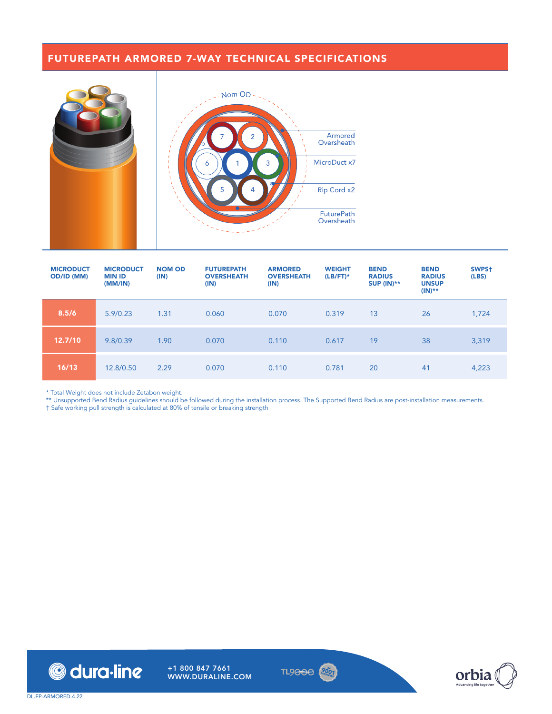## FUTUREPATH ARMORED 7-WAY TECHNICAL SPECIFICATIONS



| <b>MICRODUCT</b><br><b>OD/ID (MM)</b> | <b>MICRODUCT</b><br><b>MIN ID</b><br>(MM/IN) | <b>NOM OD</b><br>(IN) | <b>FUTUREPATH</b><br><b>OVERSHEATH</b><br>(IN) | <b>ARMORED</b><br><b>OVERSHEATH</b><br>(IN) | <b>WEIGHT</b><br>$(LB/FT)^*$ | <b>BEND</b><br><b>RADIUS</b><br><b>SUP (IN)**</b> | <b>BEND</b><br><b>RADIUS</b><br><b>UNSUP</b><br>$(IN)$ ** | SWPS <sup>+</sup><br>(LES) |
|---------------------------------------|----------------------------------------------|-----------------------|------------------------------------------------|---------------------------------------------|------------------------------|---------------------------------------------------|-----------------------------------------------------------|----------------------------|
| 8.5/6                                 | 5.9/0.23                                     | 1.31                  | 0.060                                          | 0.070                                       | 0.319                        | 13                                                | 26                                                        | 1,724                      |
| 12.7/10                               | 9.8/0.39                                     | 1.90                  | 0.070                                          | 0.110                                       | 0.617                        | 19                                                | 38                                                        | 3,319                      |
| 16/13                                 | 12.8/0.50                                    | 2.29                  | 0.070                                          | 0.110                                       | 0.781                        | 20                                                | 41                                                        | 4,223                      |

\* Total Weight does not include Zetabon weight.

\*\* Unsupported Bend Radius guidelines should be followed during the installation process. The Supported Bend Radius are post-installation measurements.

† Safe working pull strength is calculated at 80% of tensile or breaking strength



+1 800 847 7661 WWW.DURALINE.COM